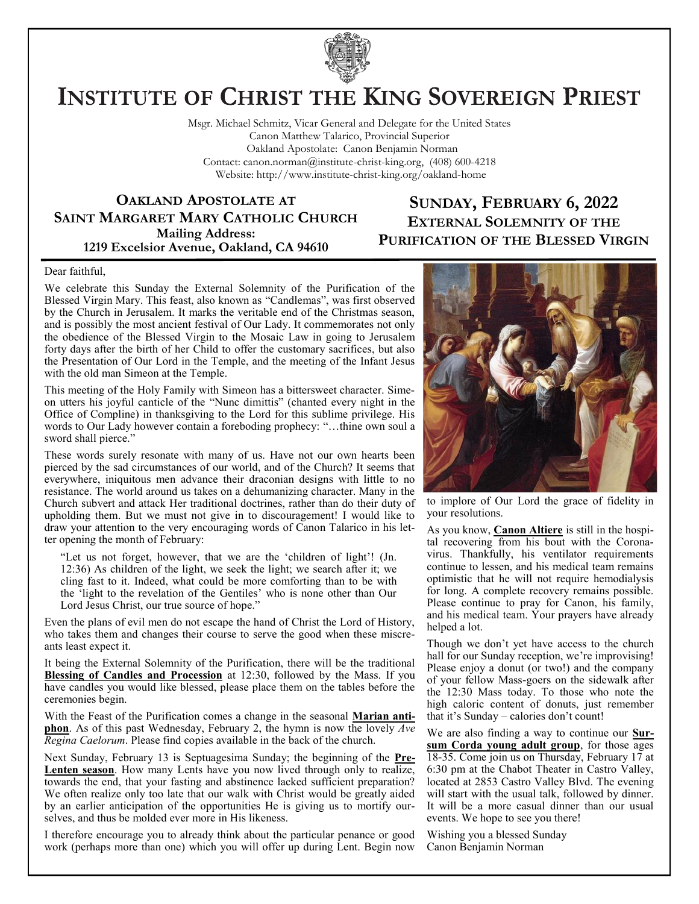

# **INSTITUTE OF CHRIST THE KING SOVEREIGN PRIEST**

Msgr. Michael Schmitz, Vicar General and Delegate for the United States Canon Matthew Talarico, Provincial Superior Oakland Apostolate: Canon Benjamin Norman Contact: canon.norman@institute-christ-king.org, (408) 600-4218 Website: http://www.institute-christ-king.org/oakland-home

**OAKLAND APOSTOLATE AT SAINT MARGARET MARY CATHOLIC CHURCH Mailing Address: 1219 Excelsior Avenue, Oakland, CA 94610**

### **SUNDAY, FEBRUARY 6, 2022 EXTERNAL SOLEMNITY OF THE PURIFICATION OF THE BLESSED VIRGIN**

#### Dear faithful,

We celebrate this Sunday the External Solemnity of the Purification of the Blessed Virgin Mary. This feast, also known as "Candlemas", was first observed by the Church in Jerusalem. It marks the veritable end of the Christmas season, and is possibly the most ancient festival of Our Lady. It commemorates not only the obedience of the Blessed Virgin to the Mosaic Law in going to Jerusalem forty days after the birth of her Child to offer the customary sacrifices, but also the Presentation of Our Lord in the Temple, and the meeting of the Infant Jesus with the old man Simeon at the Temple.

This meeting of the Holy Family with Simeon has a bittersweet character. Simeon utters his joyful canticle of the "Nunc dimittis" (chanted every night in the Office of Compline) in thanksgiving to the Lord for this sublime privilege. His words to Our Lady however contain a foreboding prophecy: "…thine own soul a sword shall pierce."

These words surely resonate with many of us. Have not our own hearts been pierced by the sad circumstances of our world, and of the Church? It seems that everywhere, iniquitous men advance their draconian designs with little to no resistance. The world around us takes on a dehumanizing character. Many in the Church subvert and attack Her traditional doctrines, rather than do their duty of upholding them. But we must not give in to discouragement! I would like to draw your attention to the very encouraging words of Canon Talarico in his letter opening the month of February:

"Let us not forget, however, that we are the 'children of light'! (Jn. 12:36) As children of the light, we seek the light; we search after it; we cling fast to it. Indeed, what could be more comforting than to be with the 'light to the revelation of the Gentiles' who is none other than Our Lord Jesus Christ, our true source of hope."

Even the plans of evil men do not escape the hand of Christ the Lord of History, who takes them and changes their course to serve the good when these miscreants least expect it.

It being the External Solemnity of the Purification, there will be the traditional **Blessing of Candles and Procession** at 12:30, followed by the Mass. If you have candles you would like blessed, please place them on the tables before the ceremonies begin.

With the Feast of the Purification comes a change in the seasonal **Marian antiphon**. As of this past Wednesday, February 2, the hymn is now the lovely *Ave Regina Caelorum*. Please find copies available in the back of the church.

Next Sunday, February 13 is Septuagesima Sunday; the beginning of the **Pre-Lenten season**. How many Lents have you now lived through only to realize, towards the end, that your fasting and abstinence lacked sufficient preparation? We often realize only too late that our walk with Christ would be greatly aided by an earlier anticipation of the opportunities He is giving us to mortify ourselves, and thus be molded ever more in His likeness.

I therefore encourage you to already think about the particular penance or good work (perhaps more than one) which you will offer up during Lent. Begin now



to implore of Our Lord the grace of fidelity in your resolutions.

As you know, **Canon Altiere** is still in the hospital recovering from his bout with the Coronavirus. Thankfully, his ventilator requirements continue to lessen, and his medical team remains optimistic that he will not require hemodialysis for long. A complete recovery remains possible. Please continue to pray for Canon, his family, and his medical team. Your prayers have already helped a lot.

Though we don't yet have access to the church hall for our Sunday reception, we're improvising! Please enjoy a donut (or two!) and the company of your fellow Mass-goers on the sidewalk after the 12:30 Mass today. To those who note the high caloric content of donuts, just remember that it's Sunday – calories don't count!

We are also finding a way to continue our **Sursum Corda young adult group**, for those ages 18-35. Come join us on Thursday, February 17 at 6:30 pm at the Chabot Theater in Castro Valley, located at 2853 Castro Valley Blvd. The evening will start with the usual talk, followed by dinner. It will be a more casual dinner than our usual events. We hope to see you there!

Wishing you a blessed Sunday Canon Benjamin Norman